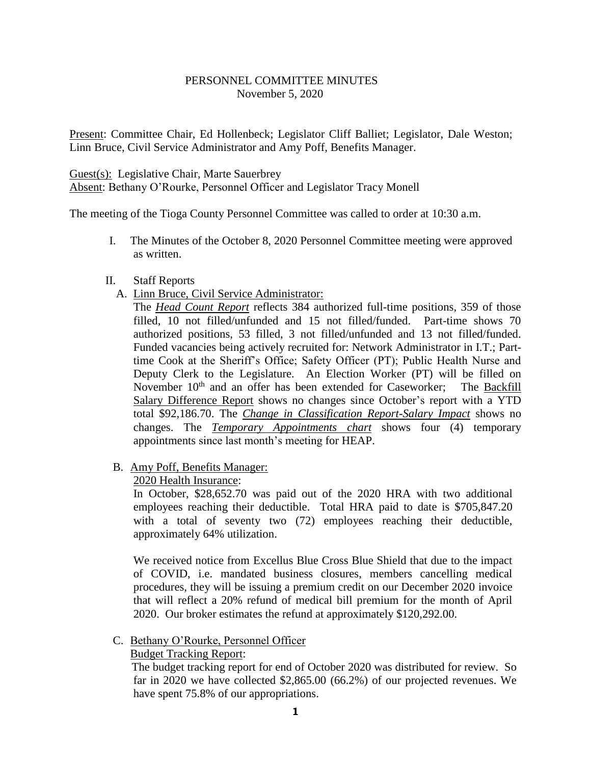## PERSONNEL COMMITTEE MINUTES November 5, 2020

Present: Committee Chair, Ed Hollenbeck; Legislator Cliff Balliet; Legislator, Dale Weston; Linn Bruce, Civil Service Administrator and Amy Poff, Benefits Manager.

Guest(s): Legislative Chair, Marte Sauerbrey

Absent: Bethany O'Rourke, Personnel Officer and Legislator Tracy Monell

The meeting of the Tioga County Personnel Committee was called to order at 10:30 a.m.

I. The Minutes of the October 8, 2020 Personnel Committee meeting were approved as written.

#### II. Staff Reports

A. Linn Bruce, Civil Service Administrator:

The *Head Count Report* reflects 384 authorized full-time positions, 359 of those filled, 10 not filled/unfunded and 15 not filled/funded. Part-time shows 70 authorized positions, 53 filled, 3 not filled/unfunded and 13 not filled/funded. Funded vacancies being actively recruited for: Network Administrator in I.T.; Parttime Cook at the Sheriff's Office; Safety Officer (PT); Public Health Nurse and Deputy Clerk to the Legislature. An Election Worker (PT) will be filled on November 10<sup>th</sup> and an offer has been extended for Caseworker; The Backfill Salary Difference Report shows no changes since October's report with a YTD total \$92,186.70. The *Change in Classification Report-Salary Impact* shows no changes. The *Temporary Appointments chart* shows four (4) temporary appointments since last month's meeting for HEAP.

B. Amy Poff, Benefits Manager:

2020 Health Insurance:

In October, \$28,652.70 was paid out of the 2020 HRA with two additional employees reaching their deductible. Total HRA paid to date is \$705,847.20 with a total of seventy two (72) employees reaching their deductible, approximately 64% utilization.

We received notice from Excellus Blue Cross Blue Shield that due to the impact of COVID, i.e. mandated business closures, members cancelling medical procedures, they will be issuing a premium credit on our December 2020 invoice that will reflect a 20% refund of medical bill premium for the month of April 2020. Our broker estimates the refund at approximately \$120,292.00.

### C. Bethany O'Rourke, Personnel Officer

### Budget Tracking Report:

 The budget tracking report for end of October 2020 was distributed for review. So far in 2020 we have collected \$2,865.00 (66.2%) of our projected revenues. We have spent 75.8% of our appropriations.